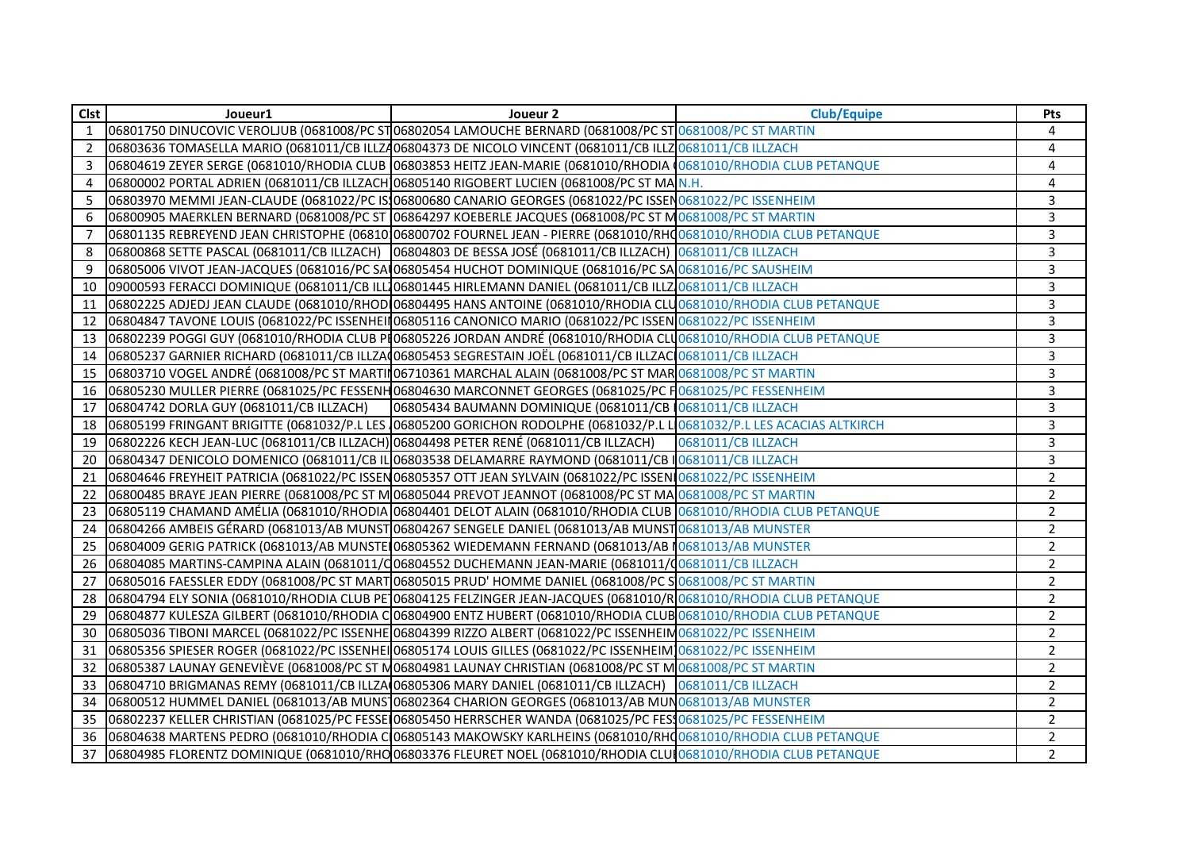| Clst           | Joueur1                                                                              | Joueur 2                                                                                                              | <b>Club/Equipe</b> | Pts            |
|----------------|--------------------------------------------------------------------------------------|-----------------------------------------------------------------------------------------------------------------------|--------------------|----------------|
| $\mathbf{1}$   |                                                                                      | 06801750 DINUCOVIC VEROLIUB (0681008/PC ST 06802054 LAMOUCHE BERNARD (0681008/PC ST 0681008/PC ST MARTIN              |                    | 4              |
| $\overline{2}$ |                                                                                      | 06803636 TOMASELLA MARIO (0681011/CB ILLZ406804373 DE NICOLO VINCENT (0681011/CB ILLZ0681011/CB ILLZACH               |                    | 4              |
| 3              |                                                                                      | 06804619 ZEYER SERGE (0681010/RHODIA CLUB 06803853 HEITZ JEAN-MARIE (0681010/RHODIA (0681010/RHODIA CLUB PETANQUE     |                    | 4              |
| 4              |                                                                                      | 06800002 PORTAL ADRIEN (0681011/CB ILLZACH 06805140 RIGOBERT LUCIEN (0681008/PC ST MA N.H.                            |                    | 4              |
| 5              |                                                                                      | 06803970 MEMMI JEAN-CLAUDE (0681022/PC IS106800680 CANARIO GEORGES (0681022/PC ISSEN0681022/PC ISSENHEIM              |                    | 3              |
| 6              |                                                                                      | 06800905 MAERKLEN BERNARD (0681008/PC ST 06864297 KOEBERLE JACQUES (0681008/PC ST M0681008/PC ST MARTIN               |                    | 3              |
| 7              |                                                                                      | 06801135 REBREYEND JEAN CHRISTOPHE (06810 06800702 FOURNEL JEAN - PIERRE (0681010/RHQ0681010/RHODIA CLUB PETANQUE     |                    | 3              |
| 8              |                                                                                      | 06800868 SETTE PASCAL (0681011/CB ILLZACH) 06804803 DE BESSA JOSÉ (0681011/CB ILLZACH) 0681011/CB ILLZACH             |                    | 3              |
| 9              |                                                                                      | 06805006 VIVOT JEAN-JACQUES (0681016/PC SAL06805454 HUCHOT DOMINIQUE (0681016/PC SAL0681016/PC SAUSHEIM               |                    | $\overline{3}$ |
| 10             |                                                                                      | 09000593 FERACCI DOMINIQUE (0681011/CB ILL106801445 HIRLEMANN DANIEL (0681011/CB ILLZ10681011/CB ILLZACH              |                    | $\overline{3}$ |
| 11             |                                                                                      | 06802225 ADJEDJ JEAN CLAUDE (0681010/RHOD 06804495 HANS ANTOINE (0681010/RHODIA CLU 0681010/RHODIA CLUB PETANQUE      |                    | 3              |
| 12             |                                                                                      | 06804847 TAVONE LOUIS (0681022/PC ISSENHEIN 06805116 CANONICO MARIO (0681022/PC ISSEN 0681022/PC ISSENHEIM            |                    | 3              |
| 13             |                                                                                      | 06802239 POGGI GUY (0681010/RHODIA CLUB PI06805226 JORDAN ANDRÉ (0681010/RHODIA CLU0681010/RHODIA CLUB PETANQUE       |                    | 3              |
| 14             |                                                                                      | 06805237 GARNIER RICHARD (0681011/CB ILLZA(06805453 SEGRESTAIN JOËL (0681011/CB ILLZAC) 0681011/CB ILLZACH            |                    | 3              |
| 15             |                                                                                      | 06803710 VOGEL ANDRÉ (0681008/PC ST MARTIN 06710361 MARCHAL ALAIN (0681008/PC ST MAR 0681008/PC ST MARTIN             |                    | 3              |
| 16             |                                                                                      | 06805230 MULLER PIERRE (0681025/PC FESSENH06804630 MARCONNET GEORGES (0681025/PC H0681025/PC FESSENHEIM               |                    | 3              |
| 17             | 06804742 DORLA GUY (0681011/CB ILLZACH)                                              | 06805434 BAUMANN DOMINIQUE (0681011/CB 0681011/CB ILLZACH                                                             |                    | 3              |
| 18             |                                                                                      | 06805199 FRINGANT BRIGITTE (0681032/P.L LES 06805200 GORICHON RODOLPHE (0681032/P.L LO681032/P.L LES ACACIAS ALTKIRCH |                    | 3              |
| 19             | 06802226 KECH JEAN-LUC (0681011/CB ILLZACH) 06804498 PETER RENÉ (0681011/CB ILLZACH) |                                                                                                                       | 0681011/CB ILLZACH | 3              |
| 20             |                                                                                      | 06804347 DENICOLO DOMENICO (0681011/CB IL 06803538 DELAMARRE RAYMOND (0681011/CB IO681011/CB ILLZACH                  |                    | 3              |
| 21             |                                                                                      | 06804646 FREYHEIT PATRICIA (0681022/PC ISSEN06805357 OTT JEAN SYLVAIN (0681022/PC ISSENI0681022/PC ISSENHEIM          |                    | $\overline{2}$ |
| 22             |                                                                                      | 06800485 BRAYE JEAN PIERRE (0681008/PC ST MO6805044 PREVOT JEANNOT (0681008/PC ST MAO681008/PC ST MARTIN              |                    | $\overline{2}$ |
| 23             |                                                                                      | 06805119 CHAMAND AMÉLIA (0681010/RHODIA 06804401 DELOT ALAIN (0681010/RHODIA CLUB 0681010/RHODIA CLUB PETANQUE        |                    | $\overline{2}$ |
| 24             |                                                                                      | 06804266 AMBEIS GÉRARD (0681013/AB MUNST 06804267 SENGELE DANIEL (0681013/AB MUNST 0681013/AB MUNSTER                 |                    | $\overline{2}$ |
| 25             |                                                                                      | 06804009 GERIG PATRICK (0681013/AB MUNSTE 06805362 WIEDEMANN FERNAND (0681013/AB 10681013/AB MUNSTER                  |                    | $\overline{2}$ |
| 26             |                                                                                      | 06804085 MARTINS-CAMPINA ALAIN (0681011/Q06804552 DUCHEMANN JEAN-MARIE (0681011/Q0681011/CB ILLZACH                   |                    | $\overline{2}$ |
| 27             |                                                                                      | 06805016 FAESSLER EDDY (0681008/PC ST MART 06805015 PRUD' HOMME DANIEL (0681008/PC S 0681008/PC ST MARTIN             |                    | $\overline{2}$ |
| 28             |                                                                                      | 06804794 ELY SONIA (0681010/RHODIA CLUB PE 06804125 FELZINGER JEAN-JACQUES (0681010/R 0681010/RHODIA CLUB PETANQUE    |                    | $\overline{2}$ |
| 29             |                                                                                      | 06804877 KULESZA GILBERT (0681010/RHODIA C 06804900 ENTZ HUBERT (0681010/RHODIA CLUB 0681010/RHODIA CLUB PETANQUE     |                    | $\overline{2}$ |
| 30             |                                                                                      | 06805036 TIBONI MARCEL (0681022/PC ISSENHE 06804399 RIZZO ALBERT (0681022/PC ISSENHEIM0681022/PC ISSENHEIM            |                    | $\overline{2}$ |
| 31             |                                                                                      | 06805356 SPIESER ROGER (0681022/PC ISSENHEI 06805174 LOUIS GILLES (0681022/PC ISSENHEIM 0681022/PC ISSENHEIM          |                    | $\overline{2}$ |
| 32             |                                                                                      | 06805387 LAUNAY GENEVIÈVE (0681008/PC ST M06804981 LAUNAY CHRISTIAN (0681008/PC ST MO681008/PC ST MARTIN              |                    | $\overline{2}$ |
| 33             |                                                                                      | 06804710 BRIGMANAS REMY (0681011/CB ILLZA 06805306 MARY DANIEL (0681011/CB ILLZACH) 0681011/CB ILLZACH                |                    | $\overline{2}$ |
| 34             |                                                                                      | 06800512 HUMMEL DANIEL (0681013/AB MUNS 06802364 CHARION GEORGES (0681013/AB MUN 0681013/AB MUNSTER                   |                    | $\overline{2}$ |
| 35             |                                                                                      | 06802237 KELLER CHRISTIAN (0681025/PC FESSE 06805450 HERRSCHER WANDA (0681025/PC FESS0681025/PC FESSENHEIM            |                    | $\overline{2}$ |
| 36             |                                                                                      | 06804638 MARTENS PEDRO (0681010/RHODIA CO6805143 MAKOWSKY KARLHEINS (0681010/RHO681010/RHODIA CLUB PETANQUE           |                    | $\overline{2}$ |
| 37             |                                                                                      | 06804985 FLORENTZ DOMINIQUE (0681010/RHO 06803376 FLEURET NOEL (0681010/RHODIA CLUI 0681010/RHODIA CLUB PETANQUE      |                    | $\overline{2}$ |